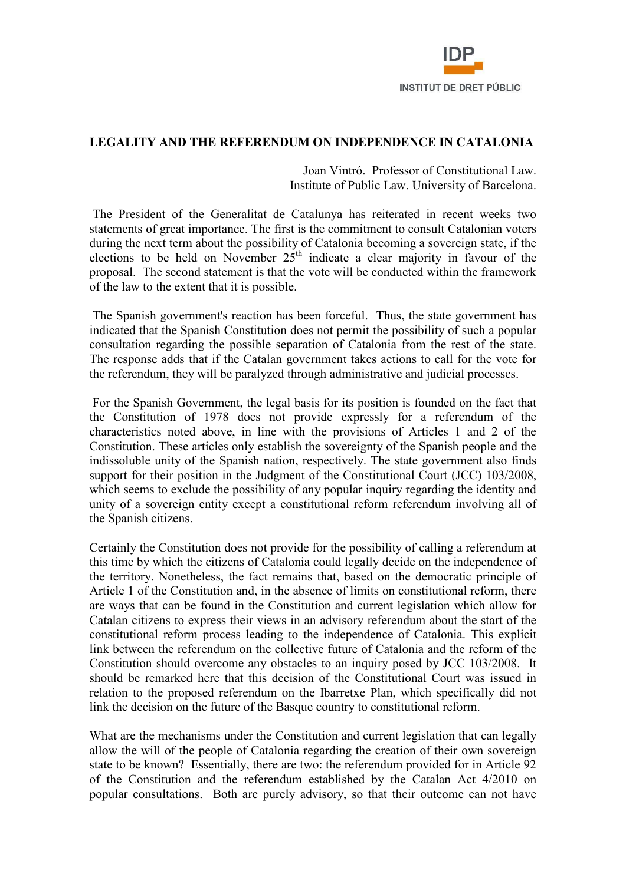

## **LEGALITY AND THE REFERENDUM ON INDEPENDENCE IN CATALONIA**

 Joan Vintró. Professor of Constitutional Law. Institute of Public Law. University of Barcelona.

 The President of the Generalitat de Catalunya has reiterated in recent weeks two statements of great importance. The first is the commitment to consult Catalonian voters during the next term about the possibility of Catalonia becoming a sovereign state, if the elections to be held on November  $25<sup>th</sup>$  indicate a clear majority in favour of the proposal. The second statement is that the vote will be conducted within the framework of the law to the extent that it is possible.

 The Spanish government's reaction has been forceful. Thus, the state government has indicated that the Spanish Constitution does not permit the possibility of such a popular consultation regarding the possible separation of Catalonia from the rest of the state. The response adds that if the Catalan government takes actions to call for the vote for the referendum, they will be paralyzed through administrative and judicial processes.

 For the Spanish Government, the legal basis for its position is founded on the fact that the Constitution of 1978 does not provide expressly for a referendum of the characteristics noted above, in line with the provisions of Articles 1 and 2 of the Constitution. These articles only establish the sovereignty of the Spanish people and the indissoluble unity of the Spanish nation, respectively. The state government also finds support for their position in the Judgment of the Constitutional Court (JCC) 103/2008, which seems to exclude the possibility of any popular inquiry regarding the identity and unity of a sovereign entity except a constitutional reform referendum involving all of the Spanish citizens.

Certainly the Constitution does not provide for the possibility of calling a referendum at this time by which the citizens of Catalonia could legally decide on the independence of the territory. Nonetheless, the fact remains that, based on the democratic principle of Article 1 of the Constitution and, in the absence of limits on constitutional reform, there are ways that can be found in the Constitution and current legislation which allow for Catalan citizens to express their views in an advisory referendum about the start of the constitutional reform process leading to the independence of Catalonia. This explicit link between the referendum on the collective future of Catalonia and the reform of the Constitution should overcome any obstacles to an inquiry posed by JCC 103/2008. It should be remarked here that this decision of the Constitutional Court was issued in relation to the proposed referendum on the Ibarretxe Plan, which specifically did not link the decision on the future of the Basque country to constitutional reform.

What are the mechanisms under the Constitution and current legislation that can legally allow the will of the people of Catalonia regarding the creation of their own sovereign state to be known? Essentially, there are two: the referendum provided for in Article 92 of the Constitution and the referendum established by the Catalan Act 4/2010 on popular consultations. Both are purely advisory, so that their outcome can not have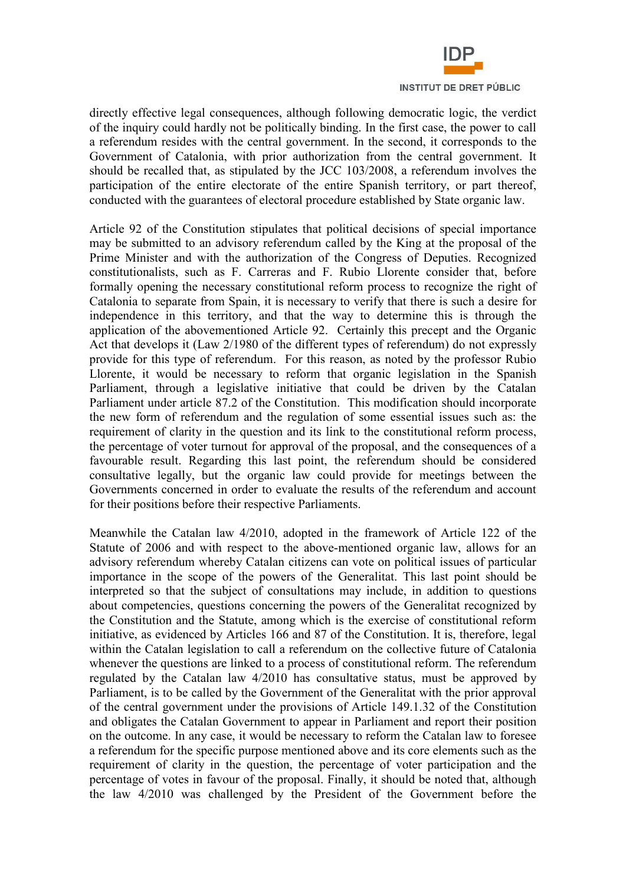

directly effective legal consequences, although following democratic logic, the verdict of the inquiry could hardly not be politically binding. In the first case, the power to call a referendum resides with the central government. In the second, it corresponds to the Government of Catalonia, with prior authorization from the central government. It should be recalled that, as stipulated by the JCC 103/2008, a referendum involves the participation of the entire electorate of the entire Spanish territory, or part thereof, conducted with the guarantees of electoral procedure established by State organic law.

Article 92 of the Constitution stipulates that political decisions of special importance may be submitted to an advisory referendum called by the King at the proposal of the Prime Minister and with the authorization of the Congress of Deputies. Recognized constitutionalists, such as F. Carreras and F. Rubio Llorente consider that, before formally opening the necessary constitutional reform process to recognize the right of Catalonia to separate from Spain, it is necessary to verify that there is such a desire for independence in this territory, and that the way to determine this is through the application of the abovementioned Article 92. Certainly this precept and the Organic Act that develops it (Law 2/1980 of the different types of referendum) do not expressly provide for this type of referendum. For this reason, as noted by the professor Rubio Llorente, it would be necessary to reform that organic legislation in the Spanish Parliament, through a legislative initiative that could be driven by the Catalan Parliament under article 87.2 of the Constitution. This modification should incorporate the new form of referendum and the regulation of some essential issues such as: the requirement of clarity in the question and its link to the constitutional reform process, the percentage of voter turnout for approval of the proposal, and the consequences of a favourable result. Regarding this last point, the referendum should be considered consultative legally, but the organic law could provide for meetings between the Governments concerned in order to evaluate the results of the referendum and account for their positions before their respective Parliaments.

Meanwhile the Catalan law 4/2010, adopted in the framework of Article 122 of the Statute of 2006 and with respect to the above-mentioned organic law, allows for an advisory referendum whereby Catalan citizens can vote on political issues of particular importance in the scope of the powers of the Generalitat. This last point should be interpreted so that the subject of consultations may include, in addition to questions about competencies, questions concerning the powers of the Generalitat recognized by the Constitution and the Statute, among which is the exercise of constitutional reform initiative, as evidenced by Articles 166 and 87 of the Constitution. It is, therefore, legal within the Catalan legislation to call a referendum on the collective future of Catalonia whenever the questions are linked to a process of constitutional reform. The referendum regulated by the Catalan law 4/2010 has consultative status, must be approved by Parliament, is to be called by the Government of the Generalitat with the prior approval of the central government under the provisions of Article 149.1.32 of the Constitution and obligates the Catalan Government to appear in Parliament and report their position on the outcome. In any case, it would be necessary to reform the Catalan law to foresee a referendum for the specific purpose mentioned above and its core elements such as the requirement of clarity in the question, the percentage of voter participation and the percentage of votes in favour of the proposal. Finally, it should be noted that, although the law 4/2010 was challenged by the President of the Government before the